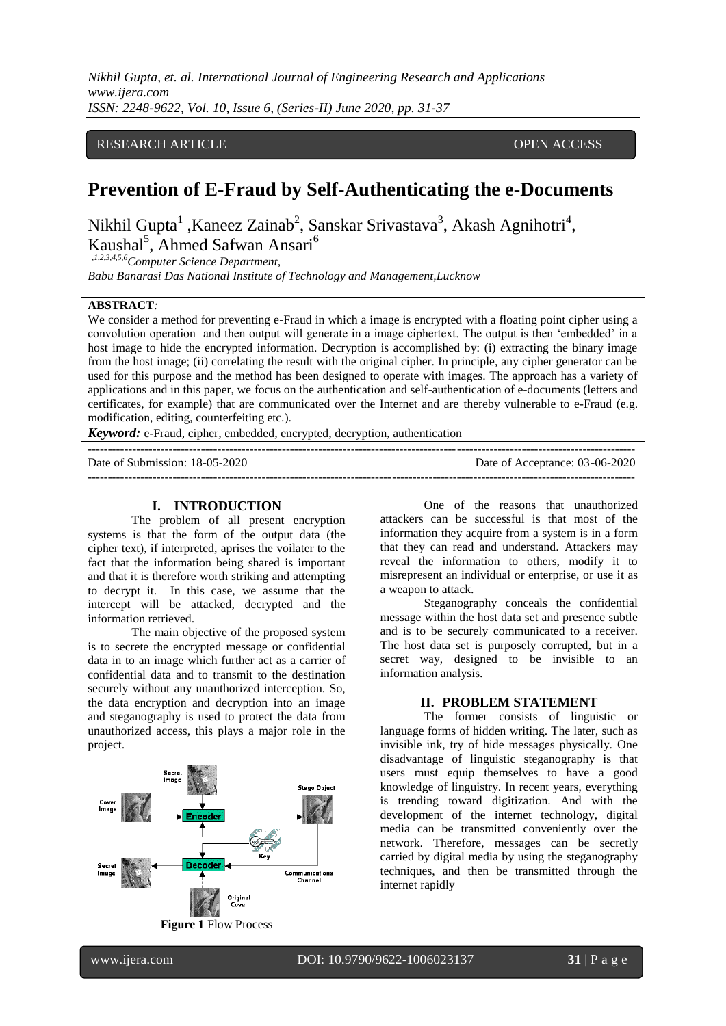*Nikhil Gupta, et. al. International Journal of Engineering Research and Applications www.ijera.com ISSN: 2248-9622, Vol. 10, Issue 6, (Series-II) June 2020, pp. 31-37*

# RESEARCH ARTICLE **CONTRACT ARTICLE** AND THE OPEN ACCESS OPEN ACCESS

# **Prevention of E-Fraud by Self-Authenticating the e-Documents**

Nikhil Gupta<sup>1</sup>, Kaneez Zainab<sup>2</sup>, Sanskar Srivastava<sup>3</sup>, Akash Agnihotri<sup>4</sup>, Kaushal<sup>5</sup>, Ahmed Safwan Ansari<sup>6</sup>

 *,1,2,3,4,5,6Computer Science Department,*

*Babu Banarasi Das National Institute of Technology and Management,Lucknow*

#### **ABSTRACT***:*

We consider a method for preventing e-Fraud in which a image is encrypted with a floating point cipher using a convolution operation and then output will generate in a image ciphertext. The output is then 'embedded' in a host image to hide the encrypted information. Decryption is accomplished by: (i) extracting the binary image from the host image; (ii) correlating the result with the original cipher. In principle, any cipher generator can be used for this purpose and the method has been designed to operate with images. The approach has a variety of applications and in this paper, we focus on the authentication and self-authentication of e-documents (letters and certificates, for example) that are communicated over the Internet and are thereby vulnerable to e-Fraud (e.g. modification, editing, counterfeiting etc.).

---------------------------------------------------------------------------------------------------------------------------------------

*Keyword:* e-Fraud*,* cipher*,* embedded*,* encrypted, decryption, authentication

Date of Submission: 18-05-2020 Date of Acceptance: 03-06-2020

---------------------------------------------------------------------------------------------------------------------------------------

#### **I. INTRODUCTION**

The problem of all present encryption systems is that the form of the output data (the cipher text), if interpreted, aprises the voilater to the fact that the information being shared is important and that it is therefore worth striking and attempting to decrypt it. In this case, we assume that the intercept will be attacked, decrypted and the information retrieved.

The main objective of the proposed system is to secrete the encrypted message or confidential data in to an image which further act as a carrier of confidential data and to transmit to the destination securely without any unauthorized interception. So, the data encryption and decryption into an image and steganography is used to protect the data from unauthorized access, this plays a major role in the project.



**Figure 1** Flow Process

One of the reasons that unauthorized attackers can be successful is that most of the information they acquire from a system is in a form that they can read and understand. Attackers may reveal the information to others, modify it to misrepresent an individual or enterprise, or use it as a weapon to attack.

Steganography conceals the confidential message within the host data set and presence subtle and is to be securely communicated to a receiver. The host data set is purposely corrupted, but in a secret way, designed to be invisible to an information analysis.

#### **II. PROBLEM STATEMENT**

The former consists of linguistic or language forms of hidden writing. The later, such as invisible ink, try of hide messages physically. One disadvantage of linguistic steganography is that users must equip themselves to have a good knowledge of linguistry. In recent years, everything is trending toward digitization. And with the development of the internet technology, digital media can be transmitted conveniently over the network. Therefore, messages can be secretly carried by digital media by using the steganography techniques, and then be transmitted through the internet rapidly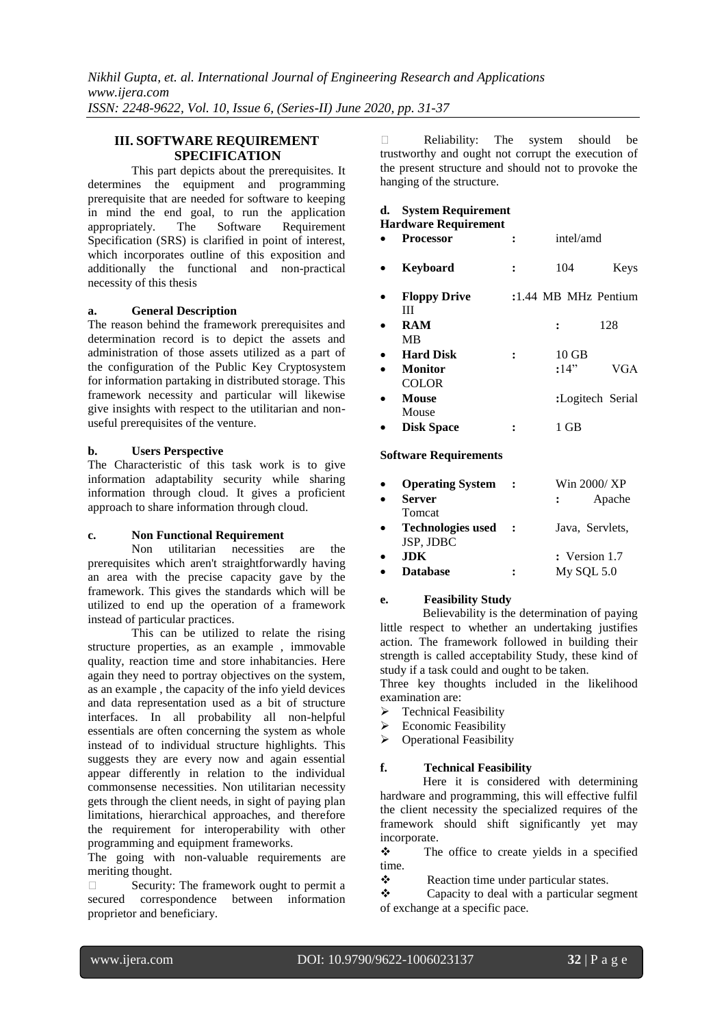# **III. SOFTWARE REQUIREMENT SPECIFICATION**

This part depicts about the prerequisites. It determines the equipment and programming prerequisite that are needed for software to keeping in mind the end goal, to run the application appropriately. The Software Requirement Specification (SRS) is clarified in point of interest, which incorporates outline of this exposition and additionally the functional and non-practical necessity of this thesis

#### **a. General Description**

The reason behind the framework prerequisites and determination record is to depict the assets and administration of those assets utilized as a part of the configuration of the Public Key Cryptosystem for information partaking in distributed storage. This framework necessity and particular will likewise give insights with respect to the utilitarian and nonuseful prerequisites of the venture.

# **b. Users Perspective**

The Characteristic of this task work is to give information adaptability security while sharing information through cloud. It gives a proficient approach to share information through cloud.

# **c. Non Functional Requirement**

Non utilitarian necessities are the prerequisites which aren't straightforwardly having an area with the precise capacity gave by the framework. This gives the standards which will be utilized to end up the operation of a framework instead of particular practices.

This can be utilized to relate the rising structure properties, as an example , immovable quality, reaction time and store inhabitancies. Here again they need to portray objectives on the system, as an example , the capacity of the info yield devices and data representation used as a bit of structure interfaces. In all probability all non-helpful essentials are often concerning the system as whole instead of to individual structure highlights. This suggests they are every now and again essential appear differently in relation to the individual commonsense necessities. Non utilitarian necessity gets through the client needs, in sight of paying plan limitations, hierarchical approaches, and therefore the requirement for interoperability with other programming and equipment frameworks.

The going with non-valuable requirements are meriting thought.

 $\Box$  Security: The framework ought to permit a secured correspondence between information proprietor and beneficiary.

 Reliability: The system should be trustworthy and ought not corrupt the execution of the present structure and should not to provoke the hanging of the structure.

# **d. System Requirement**

**Hardware Requirement**

- **Processor :** intel/amd
- **Keyboard :** 104 Keys
- **Floppy Drive :**1.44 MB MHz Pentium III
- **RAM :** 128 MB **Hard Disk :** 10 GB
- **Monitor :**14<sup>2</sup> VGA COLOR
- **Mouse :**Logitech Serial Mouse
- **Disk Space :** 1 GB

#### **Software Requirements**

| <b>Operating System</b>  |         | Win 2000/ XP    |
|--------------------------|---------|-----------------|
| <b>Server</b>            |         | Apache          |
| Tomcat                   |         |                 |
| <b>Technologies used</b> | $\cdot$ | Java, Servlets, |
| JSP, JDBC                |         |                 |
| <b>JDK</b>               |         | $:$ Version 1.7 |
| <b>Database</b>          | :       | $My$ SQL 5.0    |

#### **e. Feasibility Study**

 Believability is the determination of paying little respect to whether an undertaking justifies action. The framework followed in building their strength is called acceptability Study, these kind of study if a task could and ought to be taken.

Three key thoughts included in the likelihood examination are:

- $\triangleright$  Technical Feasibility
- $\triangleright$  Economic Feasibility
- **Department** Feasibility

# **f. Technical Feasibility**

 Here it is considered with determining hardware and programming, this will effective fulfil the client necessity the specialized requires of the framework should shift significantly yet may incorporate.

 $\div$  The office to create yields in a specified time.

\* Reaction time under particular states.

 $\triangle$  Capacity to deal with a particular segment of exchange at a specific pace.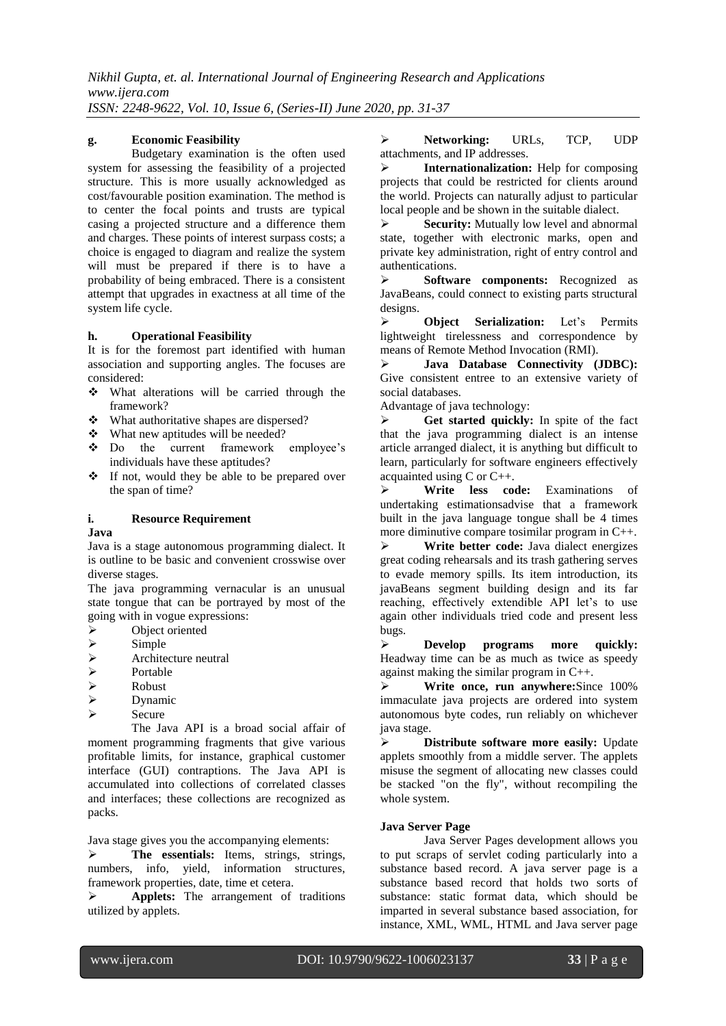#### **g. Economic Feasibility**

Budgetary examination is the often used system for assessing the feasibility of a projected structure. This is more usually acknowledged as cost/favourable position examination. The method is to center the focal points and trusts are typical casing a projected structure and a difference them and charges. These points of interest surpass costs; a choice is engaged to diagram and realize the system will must be prepared if there is to have a probability of being embraced. There is a consistent attempt that upgrades in exactness at all time of the system life cycle.

#### **h. Operational Feasibility**

It is for the foremost part identified with human association and supporting angles. The focuses are considered:

- What alterations will be carried through the framework?
- What authoritative shapes are dispersed?
- What new aptitudes will be needed?
- Do the current framework employee's individuals have these aptitudes?
- If not, would they be able to be prepared over the span of time?

# **i. Resource Requirement**

#### **Java**

Java is a stage autonomous programming dialect. It is outline to be basic and convenient crosswise over diverse stages.

The java programming vernacular is an unusual state tongue that can be portrayed by most of the going with in vogue expressions:

- > Object oriented
- $\sum_{\text{Archite}}$
- $\triangleright$  Architecture neutral<br> $\triangleright$  Portable
- > Portable<br>> Robust
- A<br>
Robust<br>
Dynam
- Dynamic
- $\triangleright$  Secure

The Java API is a broad social affair of moment programming fragments that give various profitable limits, for instance, graphical customer interface (GUI) contraptions. The Java API is accumulated into collections of correlated classes and interfaces; these collections are recognized as packs.

Java stage gives you the accompanying elements:

> The essentials: Items, strings, strings, numbers, info, yield, information structures, framework properties, date, time et cetera.

 **Applets:** The arrangement of traditions utilized by applets.

 **Networking:** URLs, TCP, UDP attachments, and IP addresses.

**EXECUTE:** Internationalization: Help for composing projects that could be restricted for clients around the world. Projects can naturally adjust to particular local people and be shown in the suitable dialect.

**Security:** Mutually low level and abnormal state, together with electronic marks, open and private key administration, right of entry control and authentications.

 **Software components:** Recognized as JavaBeans, could connect to existing parts structural designs.

 **Object Serialization:** Let's Permits lightweight tirelessness and correspondence by means of Remote Method Invocation (RMI).

 **Java Database Connectivity (JDBC):**  Give consistent entree to an extensive variety of social databases.

Advantage of java technology:

 $\triangleright$  **Get started quickly:** In spite of the fact that the java programming dialect is an intense article arranged dialect, it is anything but difficult to learn, particularly for software engineers effectively acquainted using C or C++.

 **Write less code:** Examinations of undertaking estimationsadvise that a framework built in the java language tongue shall be 4 times more diminutive compare tosimilar program in C++.

 **Write better code:** Java dialect energizes great coding rehearsals and its trash gathering serves to evade memory spills. Its item introduction, its javaBeans segment building design and its far reaching, effectively extendible API let's to use again other individuals tried code and present less bugs.

 **Develop programs more quickly:** Headway time can be as much as twice as speedy against making the similar program in C++.

 **Write once, run anywhere:**Since 100% immaculate java projects are ordered into system autonomous byte codes, run reliably on whichever java stage.

 **Distribute software more easily:** Update applets smoothly from a middle server. The applets misuse the segment of allocating new classes could be stacked "on the fly", without recompiling the whole system.

#### **Java Server Page**

Java Server Pages development allows you to put scraps of servlet coding particularly into a substance based record. A java server page is a substance based record that holds two sorts of substance: static format data, which should be imparted in several substance based association, for instance, XML, WML, HTML and Java server page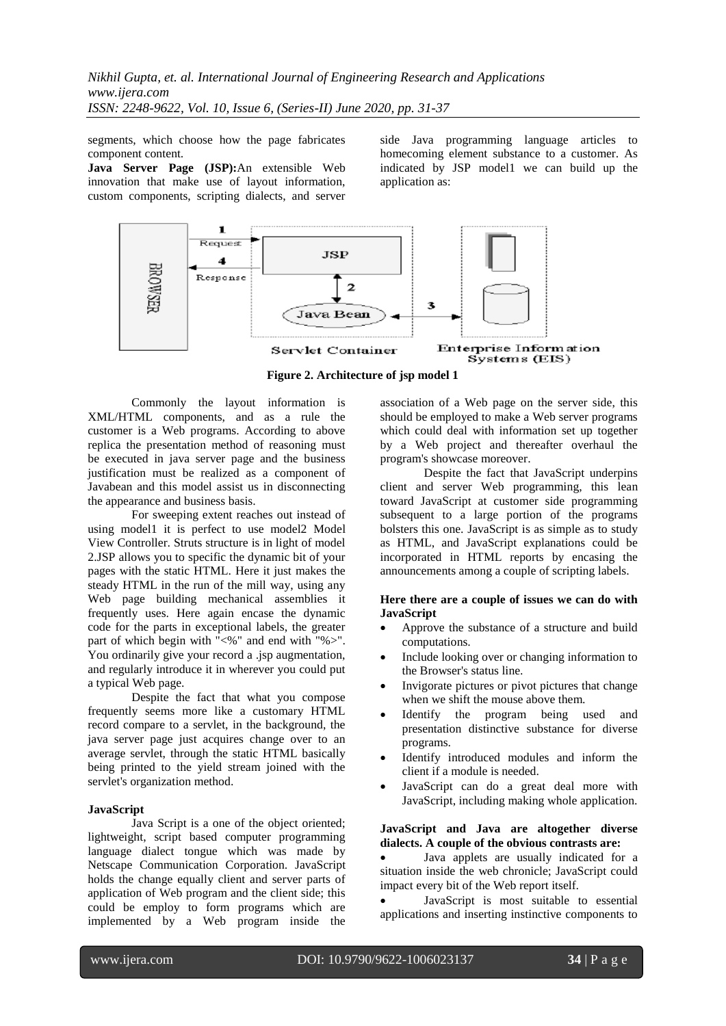segments, which choose how the page fabricates component content.

**Java Server Page (JSP):**An extensible Web innovation that make use of layout information, custom components, scripting dialects, and server side Java programming language articles to homecoming element substance to a customer. As indicated by JSP model1 we can build up the application as:



**Figure 2. Architecture of jsp model 1**

Commonly the layout information is XML/HTML components, and as a rule the customer is a Web programs. According to above replica the presentation method of reasoning must be executed in java server page and the business justification must be realized as a component of Javabean and this model assist us in disconnecting the appearance and business basis.

For sweeping extent reaches out instead of using model1 it is perfect to use model2 Model View Controller. Struts structure is in light of model 2.JSP allows you to specific the dynamic bit of your pages with the static HTML. Here it just makes the steady HTML in the run of the mill way, using any Web page building mechanical assemblies it frequently uses. Here again encase the dynamic code for the parts in exceptional labels, the greater part of which begin with "<%" and end with "%>". You ordinarily give your record a .jsp augmentation, and regularly introduce it in wherever you could put a typical Web page.

Despite the fact that what you compose frequently seems more like a customary HTML record compare to a servlet, in the background, the java server page just acquires change over to an average servlet, through the static HTML basically being printed to the yield stream joined with the servlet's organization method.

#### **JavaScript**

Java Script is a one of the object oriented; lightweight, script based computer programming language dialect tongue which was made by Netscape Communication Corporation. JavaScript holds the change equally client and server parts of application of Web program and the client side; this could be employ to form programs which are implemented by a Web program inside the association of a Web page on the server side, this should be employed to make a Web server programs which could deal with information set up together by a Web project and thereafter overhaul the program's showcase moreover.

Despite the fact that JavaScript underpins client and server Web programming, this lean toward JavaScript at customer side programming subsequent to a large portion of the programs bolsters this one. JavaScript is as simple as to study as HTML, and JavaScript explanations could be incorporated in HTML reports by encasing the announcements among a couple of scripting labels.

#### **Here there are a couple of issues we can do with JavaScript**

- Approve the substance of a structure and build computations.
- Include looking over or changing information to the Browser's status line.
- Invigorate pictures or pivot pictures that change when we shift the mouse above them.
- Identify the program being used and presentation distinctive substance for diverse programs.
- Identify introduced modules and inform the client if a module is needed.
- JavaScript can do a great deal more with JavaScript, including making whole application.

#### **JavaScript and Java are altogether diverse dialects. A couple of the obvious contrasts are:**

 Java applets are usually indicated for a situation inside the web chronicle; JavaScript could impact every bit of the Web report itself.

 JavaScript is most suitable to essential applications and inserting instinctive components to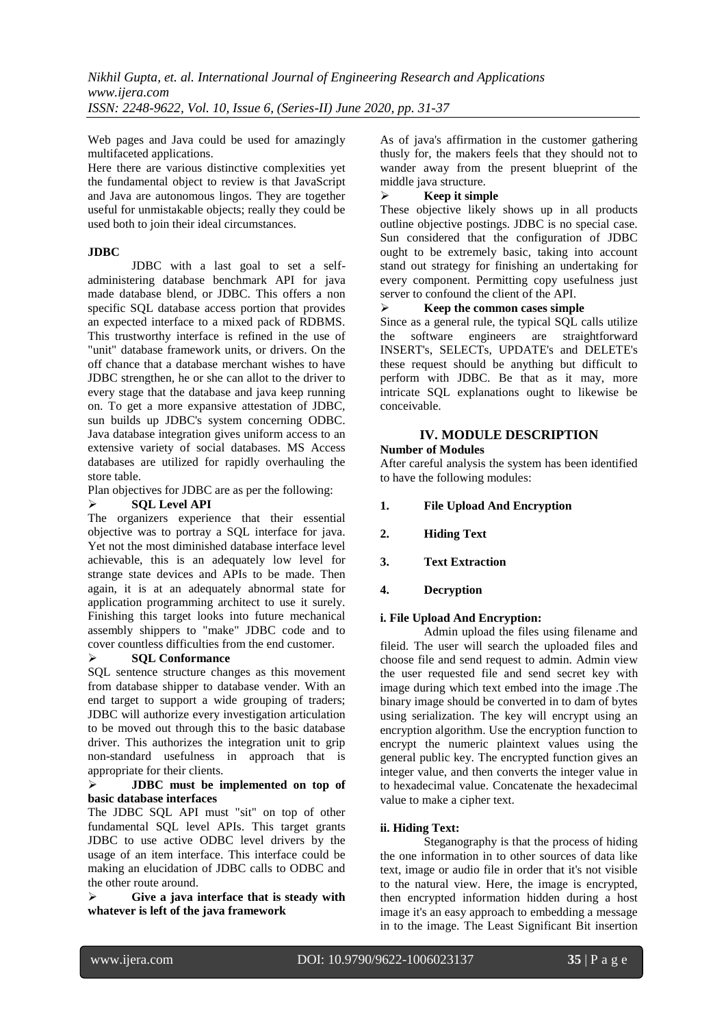Web pages and Java could be used for amazingly multifaceted applications.

Here there are various distinctive complexities yet the fundamental object to review is that JavaScript and Java are autonomous lingos. They are together useful for unmistakable objects; really they could be used both to join their ideal circumstances.

# **JDBC**

JDBC with a last goal to set a selfadministering database benchmark API for java made database blend, or JDBC. This offers a non specific SQL database access portion that provides an expected interface to a mixed pack of RDBMS. This trustworthy interface is refined in the use of "unit" database framework units, or drivers. On the off chance that a database merchant wishes to have JDBC strengthen, he or she can allot to the driver to every stage that the database and java keep running on. To get a more expansive attestation of JDBC, sun builds up JDBC's system concerning ODBC. Java database integration gives uniform access to an extensive variety of social databases. MS Access databases are utilized for rapidly overhauling the store table.

Plan objectives for JDBC are as per the following:

# **SQL Level API**

The organizers experience that their essential objective was to portray a SQL interface for java. Yet not the most diminished database interface level achievable, this is an adequately low level for strange state devices and APIs to be made. Then again, it is at an adequately abnormal state for application programming architect to use it surely. Finishing this target looks into future mechanical assembly shippers to "make" JDBC code and to cover countless difficulties from the end customer.

## **SQL Conformance**

SQL sentence structure changes as this movement from database shipper to database vender. With an end target to support a wide grouping of traders; JDBC will authorize every investigation articulation to be moved out through this to the basic database driver. This authorizes the integration unit to grip non-standard usefulness in approach that is appropriate for their clients.

### **JDBC must be implemented on top of basic database interfaces**

The JDBC SQL API must "sit" on top of other fundamental SQL level APIs. This target grants JDBC to use active ODBC level drivers by the usage of an item interface. This interface could be making an elucidation of JDBC calls to ODBC and the other route around.

 **Give a java interface that is steady with whatever is left of the java framework**

As of java's affirmation in the customer gathering thusly for, the makers feels that they should not to wander away from the present blueprint of the middle java structure.

# **Keep it simple**

These objective likely shows up in all products outline objective postings. JDBC is no special case. Sun considered that the configuration of JDBC ought to be extremely basic, taking into account stand out strategy for finishing an undertaking for every component. Permitting copy usefulness just server to confound the client of the API.

# **Keep the common cases simple**

Since as a general rule, the typical SQL calls utilize the software engineers are straightforward INSERT's, SELECTs, UPDATE's and DELETE's these request should be anything but difficult to perform with JDBC. Be that as it may, more intricate SQL explanations ought to likewise be conceivable.

# **IV. MODULE DESCRIPTION**

# **Number of Modules**

After careful analysis the system has been identified to have the following modules:

- **1. File Upload And Encryption**
- **2. Hiding Text**
- **3. Text Extraction**
- **4. Decryption**

# **i. File Upload And Encryption:**

Admin upload the files using filename and fileid. The user will search the uploaded files and choose file and send request to admin. Admin view the user requested file and send secret key with image during which text embed into the image .The binary image should be converted in to dam of bytes using serialization. The key will encrypt using an encryption algorithm. Use the encryption function to encrypt the numeric plaintext values using the general public key. The encrypted function gives an integer value, and then converts the integer value in to hexadecimal value. Concatenate the hexadecimal value to make a cipher text.

# **ii. Hiding Text:**

Steganography is that the process of hiding the one information in to other sources of data like text, image or audio file in order that it's not visible to the natural view. Here, the image is encrypted, then encrypted information hidden during a host image it's an easy approach to embedding a message in to the image. The Least Significant Bit insertion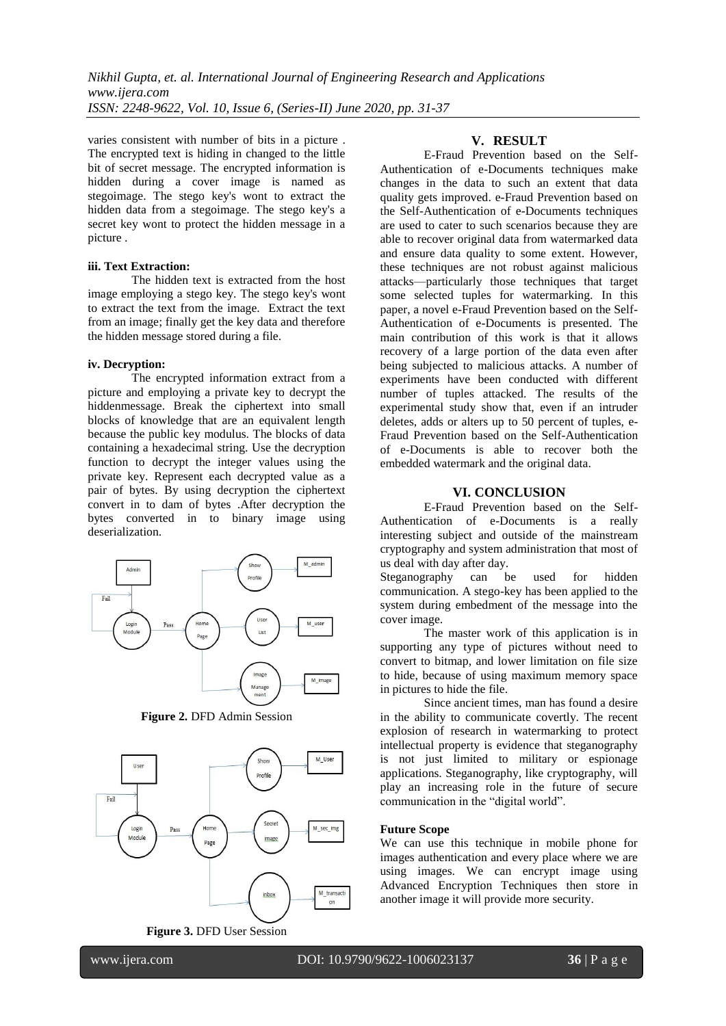varies consistent with number of bits in a picture . The encrypted text is hiding in changed to the little bit of secret message. The encrypted information is hidden during a cover image is named as stegoimage. The stego key's wont to extract the hidden data from a stegoimage. The stego key's a secret key wont to protect the hidden message in a picture .

#### **iii. Text Extraction:**

The hidden text is extracted from the host image employing a stego key. The stego key's wont to extract the text from the image. Extract the text from an image; finally get the key data and therefore the hidden message stored during a file.

#### **iv. Decryption:**

The encrypted information extract from a picture and employing a private key to decrypt the hiddenmessage. Break the ciphertext into small blocks of knowledge that are an equivalent length because the public key modulus. The blocks of data containing a hexadecimal string. Use the decryption function to decrypt the integer values using the private key. Represent each decrypted value as a pair of bytes. By using decryption the ciphertext convert in to dam of bytes .After decryption the bytes converted in to binary image using deserialization.



**Figure 2.** DFD Admin Session



**Figure 3.** DFD User Session

### **V. RESULT**

E-Fraud Prevention based on the Self-Authentication of e-Documents techniques make changes in the data to such an extent that data quality gets improved. e-Fraud Prevention based on the Self-Authentication of e-Documents techniques are used to cater to such scenarios because they are able to recover original data from watermarked data and ensure data quality to some extent. However, these techniques are not robust against malicious attacks—particularly those techniques that target some selected tuples for watermarking. In this paper, a novel e-Fraud Prevention based on the Self-Authentication of e-Documents is presented. The main contribution of this work is that it allows recovery of a large portion of the data even after being subjected to malicious attacks. A number of experiments have been conducted with different number of tuples attacked. The results of the experimental study show that, even if an intruder deletes, adds or alters up to 50 percent of tuples, e-Fraud Prevention based on the Self-Authentication of e-Documents is able to recover both the embedded watermark and the original data.

#### **VI. CONCLUSION**

E-Fraud Prevention based on the Self-Authentication of e-Documents is a really interesting subject and outside of the mainstream cryptography and system administration that most of us deal with day after day.

Steganography can be used for hidden communication. A stego-key has been applied to the system during embedment of the message into the cover image.

The master work of this application is in supporting any type of pictures without need to convert to bitmap, and lower limitation on file size to hide, because of using maximum memory space in pictures to hide the file.

Since ancient times, man has found a desire in the ability to communicate covertly. The recent explosion of research in watermarking to protect intellectual property is evidence that steganography is not just limited to military or espionage applications. Steganography, like cryptography, will play an increasing role in the future of secure communication in the "digital world".

#### **Future Scope**

We can use this technique in mobile phone for images authentication and every place where we are using images. We can encrypt image using Advanced Encryption Techniques then store in another image it will provide more security.